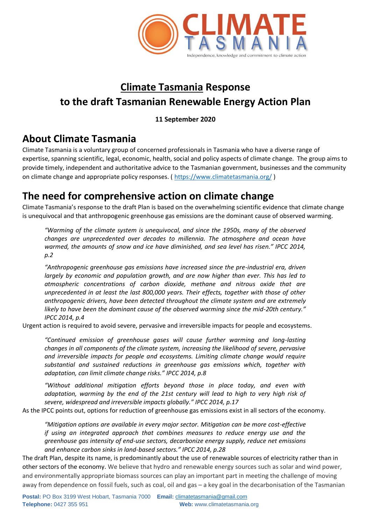

# **Climate Tasmania Response to the draft Tasmanian Renewable Energy Action Plan**

#### **11 September 2020**

# **About Climate Tasmania**

Climate Tasmania is a voluntary group of concerned professionals in Tasmania who have a diverse range of expertise, spanning scientific, legal, economic, health, social and policy aspects of climate change. The group aims to provide timely, independent and authoritative advice to the Tasmanian government, businesses and the community on climate change and appropriate policy responses. (<https://www.climatetasmania.org/> )

## **The need for comprehensive action on climate change**

Climate Tasmania's response to the draft Plan is based on the overwhelming scientific evidence that climate change is unequivocal and that anthropogenic greenhouse gas emissions are the dominant cause of observed warming.

*"Warming of the climate system is unequivocal, and since the 1950s, many of the observed changes are unprecedented over decades to millennia. The atmosphere and ocean have warmed, the amounts of snow and ice have diminished, and sea level has risen." IPCC 2014, p.2*

*"Anthropogenic greenhouse gas emissions have increased since the pre-industrial era, driven largely by economic and population growth, and are now higher than ever. This has led to atmospheric concentrations of carbon dioxide, methane and nitrous oxide that are unprecedented in at least the last 800,000 years. Their effects, together with those of other anthropogenic drivers, have been detected throughout the climate system and are extremely likely to have been the dominant cause of the observed warming since the mid-20th century." IPCC 2014, p.4*

Urgent action is required to avoid severe, pervasive and irreversible impacts for people and ecosystems.

*"Continued emission of greenhouse gases will cause further warming and long-lasting changes in all components of the climate system, increasing the likelihood of severe, pervasive and irreversible impacts for people and ecosystems. Limiting climate change would require substantial and sustained reductions in greenhouse gas emissions which, together with adaptation, can limit climate change risks." IPCC 2014, p.8*

*"Without additional mitigation efforts beyond those in place today, and even with adaptation, warming by the end of the 21st century will lead to high to very high risk of severe, widespread and irreversible impacts globally." IPCC 2014, p.17*

As the IPCC points out, options for reduction of greenhouse gas emissions exist in all sectors of the economy.

*"Mitigation options are available in every major sector. Mitigation can be more cost-effective if using an integrated approach that combines measures to reduce energy use and the greenhouse gas intensity of end-use sectors, decarbonize energy supply, reduce net emissions and enhance carbon sinks in land-based sectors." IPCC 2014, p.28*

The draft Plan, despite its name, is predominantly about the use of renewable sources of electricity rather than in other sectors of the economy. We believe that hydro and renewable energy sources such as solar and wind power, and environmentally appropriate biomass sources can play an important part in meeting the challenge of moving away from dependence on fossil fuels, such as coal, oil and gas – a key goal in the decarbonisation of the Tasmanian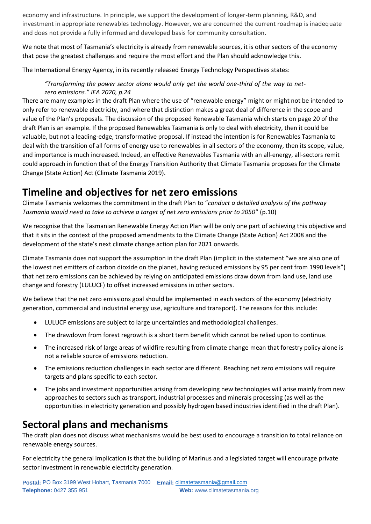economy and infrastructure. In principle, we support the development of longer-term planning, R&D, and investment in appropriate renewables technology. However, we are concerned the current roadmap is inadequate and does not provide a fully informed and developed basis for community consultation.

We note that most of Tasmania's electricity is already from renewable sources, it is other sectors of the economy that pose the greatest challenges and require the most effort and the Plan should acknowledge this.

The International Energy Agency, in its recently released Energy Technology Perspectives states:

#### *"Transforming the power sector alone would only get the world one-third of the way to netzero emissions." IEA 2020, p.24*

There are many examples in the draft Plan where the use of "renewable energy" might or might not be intended to only refer to renewable electricity, and where that distinction makes a great deal of difference in the scope and value of the Plan's proposals. The discussion of the proposed Renewable Tasmania which starts on page 20 of the draft Plan is an example. If the proposed Renewables Tasmania is only to deal with electricity, then it could be valuable, but not a leading-edge, transformative proposal. If instead the intention is for Renewables Tasmania to deal with the transition of all forms of energy use to renewables in all sectors of the economy, then its scope, value, and importance is much increased. Indeed, an effective Renewables Tasmania with an all-energy, all-sectors remit could approach in function that of the Energy Transition Authority that Climate Tasmania proposes for the Climate Change (State Action) Act (Climate Tasmania 2019).

### **Timeline and objectives for net zero emissions**

Climate Tasmania welcomes the commitment in the draft Plan to "*conduct a detailed analysis of the pathway Tasmania would need to take to achieve a target of net zero emissions prior to 2050*" (p.10)

We recognise that the Tasmanian Renewable Energy Action Plan will be only one part of achieving this objective and that it sits in the context of the proposed amendments to the Climate Change (State Action) Act 2008 and the development of the state's next climate change action plan for 2021 onwards.

Climate Tasmania does not support the assumption in the draft Plan (implicit in the statement "we are also one of the lowest net emitters of carbon dioxide on the planet, having reduced emissions by 95 per cent from 1990 levels") that net zero emissions can be achieved by relying on anticipated emissions draw down from land use, land use change and forestry (LULUCF) to offset increased emissions in other sectors.

We believe that the net zero emissions goal should be implemented in each sectors of the economy (electricity generation, commercial and industrial energy use, agriculture and transport). The reasons for this include:

- LULUCF emissions are subject to large uncertainties and methodological challenges.
- The drawdown from forest regrowth is a short term benefit which cannot be relied upon to continue.
- The increased risk of large areas of wildfire resulting from climate change mean that forestry policy alone is not a reliable source of emissions reduction.
- The emissions reduction challenges in each sector are different. Reaching net zero emissions will require targets and plans specific to each sector.
- The jobs and investment opportunities arising from developing new technologies will arise mainly from new approaches to sectors such as transport, industrial processes and minerals processing (as well as the opportunities in electricity generation and possibly hydrogen based industries identified in the draft Plan).

## **Sectoral plans and mechanisms**

The draft plan does not discuss what mechanisms would be best used to encourage a transition to total reliance on renewable energy sources.

For electricity the general implication is that the building of Marinus and a legislated target will encourage private sector investment in renewable electricity generation.